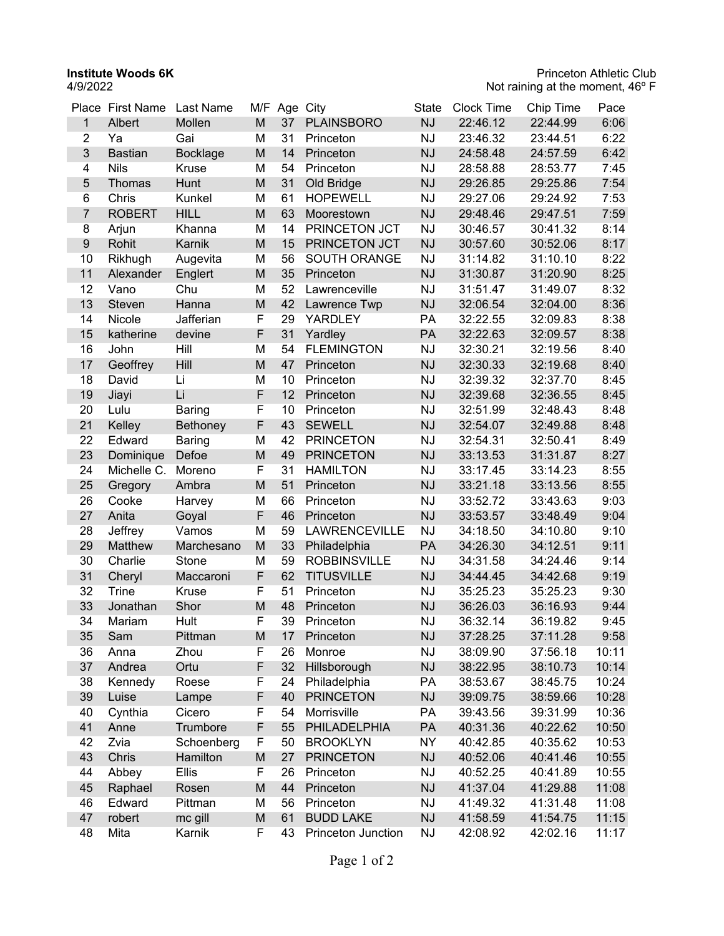**Institute Woods 6K** 4/9/2022

| 6:06<br>M<br>37<br><b>PLAINSBORO</b><br><b>NJ</b><br>22:46.12<br>22:44.99<br>$\mathbf{1}$<br>Albert<br>Mollen<br>$\overline{2}$<br>M<br>31<br><b>NJ</b><br>6:22<br>Gai<br>23:46.32<br>Ya<br>Princeton<br>23:44.51<br>3<br>M<br>14<br>6:42<br><b>Bastian</b><br><b>Bocklage</b><br><b>NJ</b><br>24:58.48<br>Princeton<br>24:57.59<br><b>Nils</b><br>Kruse<br>M<br>54<br><b>NJ</b><br>7:45<br>4<br>Princeton<br>28:58.88<br>28:53.77<br>M<br>31<br><b>NJ</b><br>7:54<br>$\sqrt{5}$<br>Old Bridge<br>29:26.85<br>29:25.86<br>Thomas<br>Hunt<br>M<br>6<br>Chris<br>Kunkel<br>61<br><b>HOPEWELL</b><br><b>NJ</b><br>7:53<br>29:27.06<br>29:24.92<br>M<br>$\overline{7}$<br><b>ROBERT</b><br><b>HILL</b><br>63<br><b>NJ</b><br>29:48.46<br>29:47.51<br>7:59<br>Moorestown<br>M<br>8<br>14<br>PRINCETON JCT<br><b>NJ</b><br>8:14<br>Arjun<br>Khanna<br>30:46.57<br>30:41.32<br>$\boldsymbol{9}$<br>M<br>Rohit<br>Karnik<br>15<br>PRINCETON JCT<br><b>NJ</b><br>8:17<br>30:57.60<br>30:52.06<br>10<br>M<br>8:22<br>56<br><b>SOUTH ORANGE</b><br><b>NJ</b><br>31:14.82<br>31:10.10<br>Rikhugh<br>Augevita<br>M<br>11<br>35<br><b>NJ</b><br>8:25<br>Englert<br>31:30.87<br>31:20.90<br>Alexander<br>Princeton<br>8:32<br>12<br>Chu<br>M<br>52<br><b>NJ</b><br>31:51.47<br>Vano<br>Lawrenceville<br>31:49.07<br>13<br>M<br>42<br><b>NJ</b><br>8:36<br>32:06.54<br>32:04.00<br>Steven<br>Hanna<br>Lawrence Twp<br>F<br>8:38<br>14<br>Nicole<br>Jafferian<br>29<br>PA<br>32:22.55<br>32:09.83<br><b>YARDLEY</b><br>F<br>31<br>8:38<br>15<br>Yardley<br>PA<br>32:22.63<br>32:09.57<br>katherine<br>devine<br>16<br>Hill<br>M<br>54<br><b>FLEMINGTON</b><br><b>NJ</b><br>8:40<br>John<br>32:30.21<br>32:19.56<br>17<br>M<br><b>NJ</b><br>Geoffrey<br>Hill<br>47<br>32:30.33<br>8:40<br>Princeton<br>32:19.68<br>18<br>M<br>8:45<br>David<br>Li<br>10<br><b>NJ</b><br>32:37.70<br>Princeton<br>32:39.32<br>F<br>Li<br>12<br>19<br><b>NJ</b><br>32:39.68<br>32:36.55<br>8:45<br>Jiayi<br>Princeton<br>F<br>8:48<br>20<br>Lulu<br>10<br><b>NJ</b><br>32:51.99<br>32:48.43<br>Princeton<br><b>Baring</b><br>F<br><b>NJ</b><br>21<br>43<br><b>SEWELL</b><br>32:54.07<br>8:48<br>Kelley<br><b>Bethoney</b><br>32:49.88<br>22<br>M<br>8:49<br>Edward<br>42<br><b>PRINCETON</b><br><b>NJ</b><br>32:54.31<br>32:50.41<br><b>Baring</b><br>23<br>M<br>8:27<br>Defoe<br>49<br><b>PRINCETON</b><br><b>NJ</b><br>33:13.53<br>31:31.87<br>Dominique<br>24<br>F<br>8:55<br>Michelle C.<br>31<br><b>HAMILTON</b><br><b>NJ</b><br>33:17.45<br>33:14.23<br>Moreno<br>M<br>25<br>51<br>8:55<br><b>NJ</b><br>33:21.18<br>33:13.56<br>Princeton<br>Gregory<br>Ambra<br>26<br>M<br>Cooke<br>66<br><b>NJ</b><br>33:52.72<br>33:43.63<br>9:03<br>Harvey<br>Princeton<br>F<br>27<br>46<br>9:04<br>Anita<br><b>NJ</b><br>33:53.57<br>33:48.49<br>Goyal<br>Princeton<br>28<br>Jeffrey<br>Vamos<br>M<br>59<br>LAWRENCEVILLE<br><b>NJ</b><br>34:18.50<br>34:10.80<br>9:10<br>M<br>33<br>29<br>Matthew<br>Philadelphia<br>PA<br>34:26.30<br>34:12.51<br>9:11<br>Marchesano<br>M<br>30<br>Charlie<br>59<br><b>ROBBINSVILLE</b><br><b>NJ</b><br>34:31.58<br>34:24.46<br>9:14<br>Stone<br>F<br>31<br>62<br><b>TITUSVILLE</b><br><b>NJ</b><br>9:19<br>Cheryl<br>Maccaroni<br>34:44.45<br>34:42.68<br>32<br>F<br>51<br><b>NJ</b><br>35:25.23<br>9:30<br><b>Trine</b><br>Kruse<br>Princeton<br>35:25.23<br>33<br>M<br>Shor<br>48<br><b>NJ</b><br>9:44<br>Jonathan<br>Princeton<br>36:26.03<br>36:16.93<br>F<br>39<br>34<br><b>NJ</b><br>9:45<br>Hult<br>Princeton<br>36:32.14<br>36:19.82<br>Mariam<br><b>NJ</b><br>35<br>M<br>Sam<br>Pittman<br>17<br>Princeton<br>37:28.25<br>37:11.28<br>9:58<br>F<br><b>NJ</b><br>10:11<br>36<br>Zhou<br>26<br>Monroe<br>38:09.90<br>37:56.18<br>Anna<br>F<br>37<br>Ortu<br>32<br>Hillsborough<br><b>NJ</b><br>10:14<br>Andrea<br>38:22.95<br>38:10.73<br>38<br>F<br>PA<br>Roese<br>24<br>Philadelphia<br>38:53.67<br>38:45.75<br>10:24<br>Kennedy<br>F<br>39<br>10:28<br>Luise<br>40<br><b>PRINCETON</b><br><b>NJ</b><br>39:09.75<br>38:59.66<br>Lampe<br>40<br>Cynthia<br>Cicero<br>F<br>Morrisville<br>PA<br>10:36<br>54<br>39:43.56<br>39:31.99<br>F<br>41<br>Anne<br>Trumbore<br>55<br>PHILADELPHIA<br>PA<br>40:31.36<br>10:50<br>40:22.62<br>F<br>42<br>Zvia<br>Schoenberg<br>NY<br>40:35.62<br>10:53<br>50<br><b>BROOKLYN</b><br>40:42.85<br>43<br>M<br><b>PRINCETON</b><br><b>NJ</b><br>10:55<br>Chris<br>Hamilton<br>27<br>40:52.06<br>40:41.46<br>44<br><b>Ellis</b><br>F<br><b>NJ</b><br>10:55<br>Abbey<br>26<br>Princeton<br>40:52.25<br>40:41.89<br>M<br>44<br>Princeton<br><b>NJ</b><br>11:08<br>45<br>Raphael<br>41:37.04<br>41:29.88<br>Rosen<br>Edward<br>46<br>Pittman<br>M<br>56<br>Princeton<br><b>NJ</b><br>41:31.48<br>11:08<br>41:49.32<br>M<br>61<br><b>BUDD LAKE</b><br><b>NJ</b><br>41:58.59<br>11:15<br>47<br>robert<br>mc gill<br>41:54.75 | Place First Name | Last Name | M/F | Age City | State | <b>Clock Time</b> | Chip Time | Pace |
|---------------------------------------------------------------------------------------------------------------------------------------------------------------------------------------------------------------------------------------------------------------------------------------------------------------------------------------------------------------------------------------------------------------------------------------------------------------------------------------------------------------------------------------------------------------------------------------------------------------------------------------------------------------------------------------------------------------------------------------------------------------------------------------------------------------------------------------------------------------------------------------------------------------------------------------------------------------------------------------------------------------------------------------------------------------------------------------------------------------------------------------------------------------------------------------------------------------------------------------------------------------------------------------------------------------------------------------------------------------------------------------------------------------------------------------------------------------------------------------------------------------------------------------------------------------------------------------------------------------------------------------------------------------------------------------------------------------------------------------------------------------------------------------------------------------------------------------------------------------------------------------------------------------------------------------------------------------------------------------------------------------------------------------------------------------------------------------------------------------------------------------------------------------------------------------------------------------------------------------------------------------------------------------------------------------------------------------------------------------------------------------------------------------------------------------------------------------------------------------------------------------------------------------------------------------------------------------------------------------------------------------------------------------------------------------------------------------------------------------------------------------------------------------------------------------------------------------------------------------------------------------------------------------------------------------------------------------------------------------------------------------------------------------------------------------------------------------------------------------------------------------------------------------------------------------------------------------------------------------------------------------------------------------------------------------------------------------------------------------------------------------------------------------------------------------------------------------------------------------------------------------------------------------------------------------------------------------------------------------------------------------------------------------------------------------------------------------------------------------------------------------------------------------------------------------------------------------------------------------------------------------------------------------------------------------------------------------------------------------------------------------------------------------------------------------------------------------------------------------------------------------------------------------------------------------------------------------------------------------------------------------------------------------------------------------------------------------------------------------------------------------------------------------------------------------------------------------------------------------------------------------------------------------------------------------------------------------------------------------------------------------------------------------------------------------------------------------------------------------------------------------------------------------------------------------------------------------------------------|------------------|-----------|-----|----------|-------|-------------------|-----------|------|
|                                                                                                                                                                                                                                                                                                                                                                                                                                                                                                                                                                                                                                                                                                                                                                                                                                                                                                                                                                                                                                                                                                                                                                                                                                                                                                                                                                                                                                                                                                                                                                                                                                                                                                                                                                                                                                                                                                                                                                                                                                                                                                                                                                                                                                                                                                                                                                                                                                                                                                                                                                                                                                                                                                                                                                                                                                                                                                                                                                                                                                                                                                                                                                                                                                                                                                                                                                                                                                                                                                                                                                                                                                                                                                                                                                                                                                                                                                                                                                                                                                                                                                                                                                                                                                                                                                                                                                                                                                                                                                                                                                                                                                                                                                                                                                                                                                                         |                  |           |     |          |       |                   |           |      |
|                                                                                                                                                                                                                                                                                                                                                                                                                                                                                                                                                                                                                                                                                                                                                                                                                                                                                                                                                                                                                                                                                                                                                                                                                                                                                                                                                                                                                                                                                                                                                                                                                                                                                                                                                                                                                                                                                                                                                                                                                                                                                                                                                                                                                                                                                                                                                                                                                                                                                                                                                                                                                                                                                                                                                                                                                                                                                                                                                                                                                                                                                                                                                                                                                                                                                                                                                                                                                                                                                                                                                                                                                                                                                                                                                                                                                                                                                                                                                                                                                                                                                                                                                                                                                                                                                                                                                                                                                                                                                                                                                                                                                                                                                                                                                                                                                                                         |                  |           |     |          |       |                   |           |      |
|                                                                                                                                                                                                                                                                                                                                                                                                                                                                                                                                                                                                                                                                                                                                                                                                                                                                                                                                                                                                                                                                                                                                                                                                                                                                                                                                                                                                                                                                                                                                                                                                                                                                                                                                                                                                                                                                                                                                                                                                                                                                                                                                                                                                                                                                                                                                                                                                                                                                                                                                                                                                                                                                                                                                                                                                                                                                                                                                                                                                                                                                                                                                                                                                                                                                                                                                                                                                                                                                                                                                                                                                                                                                                                                                                                                                                                                                                                                                                                                                                                                                                                                                                                                                                                                                                                                                                                                                                                                                                                                                                                                                                                                                                                                                                                                                                                                         |                  |           |     |          |       |                   |           |      |
|                                                                                                                                                                                                                                                                                                                                                                                                                                                                                                                                                                                                                                                                                                                                                                                                                                                                                                                                                                                                                                                                                                                                                                                                                                                                                                                                                                                                                                                                                                                                                                                                                                                                                                                                                                                                                                                                                                                                                                                                                                                                                                                                                                                                                                                                                                                                                                                                                                                                                                                                                                                                                                                                                                                                                                                                                                                                                                                                                                                                                                                                                                                                                                                                                                                                                                                                                                                                                                                                                                                                                                                                                                                                                                                                                                                                                                                                                                                                                                                                                                                                                                                                                                                                                                                                                                                                                                                                                                                                                                                                                                                                                                                                                                                                                                                                                                                         |                  |           |     |          |       |                   |           |      |
|                                                                                                                                                                                                                                                                                                                                                                                                                                                                                                                                                                                                                                                                                                                                                                                                                                                                                                                                                                                                                                                                                                                                                                                                                                                                                                                                                                                                                                                                                                                                                                                                                                                                                                                                                                                                                                                                                                                                                                                                                                                                                                                                                                                                                                                                                                                                                                                                                                                                                                                                                                                                                                                                                                                                                                                                                                                                                                                                                                                                                                                                                                                                                                                                                                                                                                                                                                                                                                                                                                                                                                                                                                                                                                                                                                                                                                                                                                                                                                                                                                                                                                                                                                                                                                                                                                                                                                                                                                                                                                                                                                                                                                                                                                                                                                                                                                                         |                  |           |     |          |       |                   |           |      |
|                                                                                                                                                                                                                                                                                                                                                                                                                                                                                                                                                                                                                                                                                                                                                                                                                                                                                                                                                                                                                                                                                                                                                                                                                                                                                                                                                                                                                                                                                                                                                                                                                                                                                                                                                                                                                                                                                                                                                                                                                                                                                                                                                                                                                                                                                                                                                                                                                                                                                                                                                                                                                                                                                                                                                                                                                                                                                                                                                                                                                                                                                                                                                                                                                                                                                                                                                                                                                                                                                                                                                                                                                                                                                                                                                                                                                                                                                                                                                                                                                                                                                                                                                                                                                                                                                                                                                                                                                                                                                                                                                                                                                                                                                                                                                                                                                                                         |                  |           |     |          |       |                   |           |      |
|                                                                                                                                                                                                                                                                                                                                                                                                                                                                                                                                                                                                                                                                                                                                                                                                                                                                                                                                                                                                                                                                                                                                                                                                                                                                                                                                                                                                                                                                                                                                                                                                                                                                                                                                                                                                                                                                                                                                                                                                                                                                                                                                                                                                                                                                                                                                                                                                                                                                                                                                                                                                                                                                                                                                                                                                                                                                                                                                                                                                                                                                                                                                                                                                                                                                                                                                                                                                                                                                                                                                                                                                                                                                                                                                                                                                                                                                                                                                                                                                                                                                                                                                                                                                                                                                                                                                                                                                                                                                                                                                                                                                                                                                                                                                                                                                                                                         |                  |           |     |          |       |                   |           |      |
|                                                                                                                                                                                                                                                                                                                                                                                                                                                                                                                                                                                                                                                                                                                                                                                                                                                                                                                                                                                                                                                                                                                                                                                                                                                                                                                                                                                                                                                                                                                                                                                                                                                                                                                                                                                                                                                                                                                                                                                                                                                                                                                                                                                                                                                                                                                                                                                                                                                                                                                                                                                                                                                                                                                                                                                                                                                                                                                                                                                                                                                                                                                                                                                                                                                                                                                                                                                                                                                                                                                                                                                                                                                                                                                                                                                                                                                                                                                                                                                                                                                                                                                                                                                                                                                                                                                                                                                                                                                                                                                                                                                                                                                                                                                                                                                                                                                         |                  |           |     |          |       |                   |           |      |
|                                                                                                                                                                                                                                                                                                                                                                                                                                                                                                                                                                                                                                                                                                                                                                                                                                                                                                                                                                                                                                                                                                                                                                                                                                                                                                                                                                                                                                                                                                                                                                                                                                                                                                                                                                                                                                                                                                                                                                                                                                                                                                                                                                                                                                                                                                                                                                                                                                                                                                                                                                                                                                                                                                                                                                                                                                                                                                                                                                                                                                                                                                                                                                                                                                                                                                                                                                                                                                                                                                                                                                                                                                                                                                                                                                                                                                                                                                                                                                                                                                                                                                                                                                                                                                                                                                                                                                                                                                                                                                                                                                                                                                                                                                                                                                                                                                                         |                  |           |     |          |       |                   |           |      |
|                                                                                                                                                                                                                                                                                                                                                                                                                                                                                                                                                                                                                                                                                                                                                                                                                                                                                                                                                                                                                                                                                                                                                                                                                                                                                                                                                                                                                                                                                                                                                                                                                                                                                                                                                                                                                                                                                                                                                                                                                                                                                                                                                                                                                                                                                                                                                                                                                                                                                                                                                                                                                                                                                                                                                                                                                                                                                                                                                                                                                                                                                                                                                                                                                                                                                                                                                                                                                                                                                                                                                                                                                                                                                                                                                                                                                                                                                                                                                                                                                                                                                                                                                                                                                                                                                                                                                                                                                                                                                                                                                                                                                                                                                                                                                                                                                                                         |                  |           |     |          |       |                   |           |      |
|                                                                                                                                                                                                                                                                                                                                                                                                                                                                                                                                                                                                                                                                                                                                                                                                                                                                                                                                                                                                                                                                                                                                                                                                                                                                                                                                                                                                                                                                                                                                                                                                                                                                                                                                                                                                                                                                                                                                                                                                                                                                                                                                                                                                                                                                                                                                                                                                                                                                                                                                                                                                                                                                                                                                                                                                                                                                                                                                                                                                                                                                                                                                                                                                                                                                                                                                                                                                                                                                                                                                                                                                                                                                                                                                                                                                                                                                                                                                                                                                                                                                                                                                                                                                                                                                                                                                                                                                                                                                                                                                                                                                                                                                                                                                                                                                                                                         |                  |           |     |          |       |                   |           |      |
|                                                                                                                                                                                                                                                                                                                                                                                                                                                                                                                                                                                                                                                                                                                                                                                                                                                                                                                                                                                                                                                                                                                                                                                                                                                                                                                                                                                                                                                                                                                                                                                                                                                                                                                                                                                                                                                                                                                                                                                                                                                                                                                                                                                                                                                                                                                                                                                                                                                                                                                                                                                                                                                                                                                                                                                                                                                                                                                                                                                                                                                                                                                                                                                                                                                                                                                                                                                                                                                                                                                                                                                                                                                                                                                                                                                                                                                                                                                                                                                                                                                                                                                                                                                                                                                                                                                                                                                                                                                                                                                                                                                                                                                                                                                                                                                                                                                         |                  |           |     |          |       |                   |           |      |
|                                                                                                                                                                                                                                                                                                                                                                                                                                                                                                                                                                                                                                                                                                                                                                                                                                                                                                                                                                                                                                                                                                                                                                                                                                                                                                                                                                                                                                                                                                                                                                                                                                                                                                                                                                                                                                                                                                                                                                                                                                                                                                                                                                                                                                                                                                                                                                                                                                                                                                                                                                                                                                                                                                                                                                                                                                                                                                                                                                                                                                                                                                                                                                                                                                                                                                                                                                                                                                                                                                                                                                                                                                                                                                                                                                                                                                                                                                                                                                                                                                                                                                                                                                                                                                                                                                                                                                                                                                                                                                                                                                                                                                                                                                                                                                                                                                                         |                  |           |     |          |       |                   |           |      |
|                                                                                                                                                                                                                                                                                                                                                                                                                                                                                                                                                                                                                                                                                                                                                                                                                                                                                                                                                                                                                                                                                                                                                                                                                                                                                                                                                                                                                                                                                                                                                                                                                                                                                                                                                                                                                                                                                                                                                                                                                                                                                                                                                                                                                                                                                                                                                                                                                                                                                                                                                                                                                                                                                                                                                                                                                                                                                                                                                                                                                                                                                                                                                                                                                                                                                                                                                                                                                                                                                                                                                                                                                                                                                                                                                                                                                                                                                                                                                                                                                                                                                                                                                                                                                                                                                                                                                                                                                                                                                                                                                                                                                                                                                                                                                                                                                                                         |                  |           |     |          |       |                   |           |      |
|                                                                                                                                                                                                                                                                                                                                                                                                                                                                                                                                                                                                                                                                                                                                                                                                                                                                                                                                                                                                                                                                                                                                                                                                                                                                                                                                                                                                                                                                                                                                                                                                                                                                                                                                                                                                                                                                                                                                                                                                                                                                                                                                                                                                                                                                                                                                                                                                                                                                                                                                                                                                                                                                                                                                                                                                                                                                                                                                                                                                                                                                                                                                                                                                                                                                                                                                                                                                                                                                                                                                                                                                                                                                                                                                                                                                                                                                                                                                                                                                                                                                                                                                                                                                                                                                                                                                                                                                                                                                                                                                                                                                                                                                                                                                                                                                                                                         |                  |           |     |          |       |                   |           |      |
|                                                                                                                                                                                                                                                                                                                                                                                                                                                                                                                                                                                                                                                                                                                                                                                                                                                                                                                                                                                                                                                                                                                                                                                                                                                                                                                                                                                                                                                                                                                                                                                                                                                                                                                                                                                                                                                                                                                                                                                                                                                                                                                                                                                                                                                                                                                                                                                                                                                                                                                                                                                                                                                                                                                                                                                                                                                                                                                                                                                                                                                                                                                                                                                                                                                                                                                                                                                                                                                                                                                                                                                                                                                                                                                                                                                                                                                                                                                                                                                                                                                                                                                                                                                                                                                                                                                                                                                                                                                                                                                                                                                                                                                                                                                                                                                                                                                         |                  |           |     |          |       |                   |           |      |
|                                                                                                                                                                                                                                                                                                                                                                                                                                                                                                                                                                                                                                                                                                                                                                                                                                                                                                                                                                                                                                                                                                                                                                                                                                                                                                                                                                                                                                                                                                                                                                                                                                                                                                                                                                                                                                                                                                                                                                                                                                                                                                                                                                                                                                                                                                                                                                                                                                                                                                                                                                                                                                                                                                                                                                                                                                                                                                                                                                                                                                                                                                                                                                                                                                                                                                                                                                                                                                                                                                                                                                                                                                                                                                                                                                                                                                                                                                                                                                                                                                                                                                                                                                                                                                                                                                                                                                                                                                                                                                                                                                                                                                                                                                                                                                                                                                                         |                  |           |     |          |       |                   |           |      |
|                                                                                                                                                                                                                                                                                                                                                                                                                                                                                                                                                                                                                                                                                                                                                                                                                                                                                                                                                                                                                                                                                                                                                                                                                                                                                                                                                                                                                                                                                                                                                                                                                                                                                                                                                                                                                                                                                                                                                                                                                                                                                                                                                                                                                                                                                                                                                                                                                                                                                                                                                                                                                                                                                                                                                                                                                                                                                                                                                                                                                                                                                                                                                                                                                                                                                                                                                                                                                                                                                                                                                                                                                                                                                                                                                                                                                                                                                                                                                                                                                                                                                                                                                                                                                                                                                                                                                                                                                                                                                                                                                                                                                                                                                                                                                                                                                                                         |                  |           |     |          |       |                   |           |      |
|                                                                                                                                                                                                                                                                                                                                                                                                                                                                                                                                                                                                                                                                                                                                                                                                                                                                                                                                                                                                                                                                                                                                                                                                                                                                                                                                                                                                                                                                                                                                                                                                                                                                                                                                                                                                                                                                                                                                                                                                                                                                                                                                                                                                                                                                                                                                                                                                                                                                                                                                                                                                                                                                                                                                                                                                                                                                                                                                                                                                                                                                                                                                                                                                                                                                                                                                                                                                                                                                                                                                                                                                                                                                                                                                                                                                                                                                                                                                                                                                                                                                                                                                                                                                                                                                                                                                                                                                                                                                                                                                                                                                                                                                                                                                                                                                                                                         |                  |           |     |          |       |                   |           |      |
|                                                                                                                                                                                                                                                                                                                                                                                                                                                                                                                                                                                                                                                                                                                                                                                                                                                                                                                                                                                                                                                                                                                                                                                                                                                                                                                                                                                                                                                                                                                                                                                                                                                                                                                                                                                                                                                                                                                                                                                                                                                                                                                                                                                                                                                                                                                                                                                                                                                                                                                                                                                                                                                                                                                                                                                                                                                                                                                                                                                                                                                                                                                                                                                                                                                                                                                                                                                                                                                                                                                                                                                                                                                                                                                                                                                                                                                                                                                                                                                                                                                                                                                                                                                                                                                                                                                                                                                                                                                                                                                                                                                                                                                                                                                                                                                                                                                         |                  |           |     |          |       |                   |           |      |
|                                                                                                                                                                                                                                                                                                                                                                                                                                                                                                                                                                                                                                                                                                                                                                                                                                                                                                                                                                                                                                                                                                                                                                                                                                                                                                                                                                                                                                                                                                                                                                                                                                                                                                                                                                                                                                                                                                                                                                                                                                                                                                                                                                                                                                                                                                                                                                                                                                                                                                                                                                                                                                                                                                                                                                                                                                                                                                                                                                                                                                                                                                                                                                                                                                                                                                                                                                                                                                                                                                                                                                                                                                                                                                                                                                                                                                                                                                                                                                                                                                                                                                                                                                                                                                                                                                                                                                                                                                                                                                                                                                                                                                                                                                                                                                                                                                                         |                  |           |     |          |       |                   |           |      |
|                                                                                                                                                                                                                                                                                                                                                                                                                                                                                                                                                                                                                                                                                                                                                                                                                                                                                                                                                                                                                                                                                                                                                                                                                                                                                                                                                                                                                                                                                                                                                                                                                                                                                                                                                                                                                                                                                                                                                                                                                                                                                                                                                                                                                                                                                                                                                                                                                                                                                                                                                                                                                                                                                                                                                                                                                                                                                                                                                                                                                                                                                                                                                                                                                                                                                                                                                                                                                                                                                                                                                                                                                                                                                                                                                                                                                                                                                                                                                                                                                                                                                                                                                                                                                                                                                                                                                                                                                                                                                                                                                                                                                                                                                                                                                                                                                                                         |                  |           |     |          |       |                   |           |      |
|                                                                                                                                                                                                                                                                                                                                                                                                                                                                                                                                                                                                                                                                                                                                                                                                                                                                                                                                                                                                                                                                                                                                                                                                                                                                                                                                                                                                                                                                                                                                                                                                                                                                                                                                                                                                                                                                                                                                                                                                                                                                                                                                                                                                                                                                                                                                                                                                                                                                                                                                                                                                                                                                                                                                                                                                                                                                                                                                                                                                                                                                                                                                                                                                                                                                                                                                                                                                                                                                                                                                                                                                                                                                                                                                                                                                                                                                                                                                                                                                                                                                                                                                                                                                                                                                                                                                                                                                                                                                                                                                                                                                                                                                                                                                                                                                                                                         |                  |           |     |          |       |                   |           |      |
|                                                                                                                                                                                                                                                                                                                                                                                                                                                                                                                                                                                                                                                                                                                                                                                                                                                                                                                                                                                                                                                                                                                                                                                                                                                                                                                                                                                                                                                                                                                                                                                                                                                                                                                                                                                                                                                                                                                                                                                                                                                                                                                                                                                                                                                                                                                                                                                                                                                                                                                                                                                                                                                                                                                                                                                                                                                                                                                                                                                                                                                                                                                                                                                                                                                                                                                                                                                                                                                                                                                                                                                                                                                                                                                                                                                                                                                                                                                                                                                                                                                                                                                                                                                                                                                                                                                                                                                                                                                                                                                                                                                                                                                                                                                                                                                                                                                         |                  |           |     |          |       |                   |           |      |
|                                                                                                                                                                                                                                                                                                                                                                                                                                                                                                                                                                                                                                                                                                                                                                                                                                                                                                                                                                                                                                                                                                                                                                                                                                                                                                                                                                                                                                                                                                                                                                                                                                                                                                                                                                                                                                                                                                                                                                                                                                                                                                                                                                                                                                                                                                                                                                                                                                                                                                                                                                                                                                                                                                                                                                                                                                                                                                                                                                                                                                                                                                                                                                                                                                                                                                                                                                                                                                                                                                                                                                                                                                                                                                                                                                                                                                                                                                                                                                                                                                                                                                                                                                                                                                                                                                                                                                                                                                                                                                                                                                                                                                                                                                                                                                                                                                                         |                  |           |     |          |       |                   |           |      |
|                                                                                                                                                                                                                                                                                                                                                                                                                                                                                                                                                                                                                                                                                                                                                                                                                                                                                                                                                                                                                                                                                                                                                                                                                                                                                                                                                                                                                                                                                                                                                                                                                                                                                                                                                                                                                                                                                                                                                                                                                                                                                                                                                                                                                                                                                                                                                                                                                                                                                                                                                                                                                                                                                                                                                                                                                                                                                                                                                                                                                                                                                                                                                                                                                                                                                                                                                                                                                                                                                                                                                                                                                                                                                                                                                                                                                                                                                                                                                                                                                                                                                                                                                                                                                                                                                                                                                                                                                                                                                                                                                                                                                                                                                                                                                                                                                                                         |                  |           |     |          |       |                   |           |      |
|                                                                                                                                                                                                                                                                                                                                                                                                                                                                                                                                                                                                                                                                                                                                                                                                                                                                                                                                                                                                                                                                                                                                                                                                                                                                                                                                                                                                                                                                                                                                                                                                                                                                                                                                                                                                                                                                                                                                                                                                                                                                                                                                                                                                                                                                                                                                                                                                                                                                                                                                                                                                                                                                                                                                                                                                                                                                                                                                                                                                                                                                                                                                                                                                                                                                                                                                                                                                                                                                                                                                                                                                                                                                                                                                                                                                                                                                                                                                                                                                                                                                                                                                                                                                                                                                                                                                                                                                                                                                                                                                                                                                                                                                                                                                                                                                                                                         |                  |           |     |          |       |                   |           |      |
|                                                                                                                                                                                                                                                                                                                                                                                                                                                                                                                                                                                                                                                                                                                                                                                                                                                                                                                                                                                                                                                                                                                                                                                                                                                                                                                                                                                                                                                                                                                                                                                                                                                                                                                                                                                                                                                                                                                                                                                                                                                                                                                                                                                                                                                                                                                                                                                                                                                                                                                                                                                                                                                                                                                                                                                                                                                                                                                                                                                                                                                                                                                                                                                                                                                                                                                                                                                                                                                                                                                                                                                                                                                                                                                                                                                                                                                                                                                                                                                                                                                                                                                                                                                                                                                                                                                                                                                                                                                                                                                                                                                                                                                                                                                                                                                                                                                         |                  |           |     |          |       |                   |           |      |
|                                                                                                                                                                                                                                                                                                                                                                                                                                                                                                                                                                                                                                                                                                                                                                                                                                                                                                                                                                                                                                                                                                                                                                                                                                                                                                                                                                                                                                                                                                                                                                                                                                                                                                                                                                                                                                                                                                                                                                                                                                                                                                                                                                                                                                                                                                                                                                                                                                                                                                                                                                                                                                                                                                                                                                                                                                                                                                                                                                                                                                                                                                                                                                                                                                                                                                                                                                                                                                                                                                                                                                                                                                                                                                                                                                                                                                                                                                                                                                                                                                                                                                                                                                                                                                                                                                                                                                                                                                                                                                                                                                                                                                                                                                                                                                                                                                                         |                  |           |     |          |       |                   |           |      |
|                                                                                                                                                                                                                                                                                                                                                                                                                                                                                                                                                                                                                                                                                                                                                                                                                                                                                                                                                                                                                                                                                                                                                                                                                                                                                                                                                                                                                                                                                                                                                                                                                                                                                                                                                                                                                                                                                                                                                                                                                                                                                                                                                                                                                                                                                                                                                                                                                                                                                                                                                                                                                                                                                                                                                                                                                                                                                                                                                                                                                                                                                                                                                                                                                                                                                                                                                                                                                                                                                                                                                                                                                                                                                                                                                                                                                                                                                                                                                                                                                                                                                                                                                                                                                                                                                                                                                                                                                                                                                                                                                                                                                                                                                                                                                                                                                                                         |                  |           |     |          |       |                   |           |      |
|                                                                                                                                                                                                                                                                                                                                                                                                                                                                                                                                                                                                                                                                                                                                                                                                                                                                                                                                                                                                                                                                                                                                                                                                                                                                                                                                                                                                                                                                                                                                                                                                                                                                                                                                                                                                                                                                                                                                                                                                                                                                                                                                                                                                                                                                                                                                                                                                                                                                                                                                                                                                                                                                                                                                                                                                                                                                                                                                                                                                                                                                                                                                                                                                                                                                                                                                                                                                                                                                                                                                                                                                                                                                                                                                                                                                                                                                                                                                                                                                                                                                                                                                                                                                                                                                                                                                                                                                                                                                                                                                                                                                                                                                                                                                                                                                                                                         |                  |           |     |          |       |                   |           |      |
|                                                                                                                                                                                                                                                                                                                                                                                                                                                                                                                                                                                                                                                                                                                                                                                                                                                                                                                                                                                                                                                                                                                                                                                                                                                                                                                                                                                                                                                                                                                                                                                                                                                                                                                                                                                                                                                                                                                                                                                                                                                                                                                                                                                                                                                                                                                                                                                                                                                                                                                                                                                                                                                                                                                                                                                                                                                                                                                                                                                                                                                                                                                                                                                                                                                                                                                                                                                                                                                                                                                                                                                                                                                                                                                                                                                                                                                                                                                                                                                                                                                                                                                                                                                                                                                                                                                                                                                                                                                                                                                                                                                                                                                                                                                                                                                                                                                         |                  |           |     |          |       |                   |           |      |
|                                                                                                                                                                                                                                                                                                                                                                                                                                                                                                                                                                                                                                                                                                                                                                                                                                                                                                                                                                                                                                                                                                                                                                                                                                                                                                                                                                                                                                                                                                                                                                                                                                                                                                                                                                                                                                                                                                                                                                                                                                                                                                                                                                                                                                                                                                                                                                                                                                                                                                                                                                                                                                                                                                                                                                                                                                                                                                                                                                                                                                                                                                                                                                                                                                                                                                                                                                                                                                                                                                                                                                                                                                                                                                                                                                                                                                                                                                                                                                                                                                                                                                                                                                                                                                                                                                                                                                                                                                                                                                                                                                                                                                                                                                                                                                                                                                                         |                  |           |     |          |       |                   |           |      |
|                                                                                                                                                                                                                                                                                                                                                                                                                                                                                                                                                                                                                                                                                                                                                                                                                                                                                                                                                                                                                                                                                                                                                                                                                                                                                                                                                                                                                                                                                                                                                                                                                                                                                                                                                                                                                                                                                                                                                                                                                                                                                                                                                                                                                                                                                                                                                                                                                                                                                                                                                                                                                                                                                                                                                                                                                                                                                                                                                                                                                                                                                                                                                                                                                                                                                                                                                                                                                                                                                                                                                                                                                                                                                                                                                                                                                                                                                                                                                                                                                                                                                                                                                                                                                                                                                                                                                                                                                                                                                                                                                                                                                                                                                                                                                                                                                                                         |                  |           |     |          |       |                   |           |      |
|                                                                                                                                                                                                                                                                                                                                                                                                                                                                                                                                                                                                                                                                                                                                                                                                                                                                                                                                                                                                                                                                                                                                                                                                                                                                                                                                                                                                                                                                                                                                                                                                                                                                                                                                                                                                                                                                                                                                                                                                                                                                                                                                                                                                                                                                                                                                                                                                                                                                                                                                                                                                                                                                                                                                                                                                                                                                                                                                                                                                                                                                                                                                                                                                                                                                                                                                                                                                                                                                                                                                                                                                                                                                                                                                                                                                                                                                                                                                                                                                                                                                                                                                                                                                                                                                                                                                                                                                                                                                                                                                                                                                                                                                                                                                                                                                                                                         |                  |           |     |          |       |                   |           |      |
|                                                                                                                                                                                                                                                                                                                                                                                                                                                                                                                                                                                                                                                                                                                                                                                                                                                                                                                                                                                                                                                                                                                                                                                                                                                                                                                                                                                                                                                                                                                                                                                                                                                                                                                                                                                                                                                                                                                                                                                                                                                                                                                                                                                                                                                                                                                                                                                                                                                                                                                                                                                                                                                                                                                                                                                                                                                                                                                                                                                                                                                                                                                                                                                                                                                                                                                                                                                                                                                                                                                                                                                                                                                                                                                                                                                                                                                                                                                                                                                                                                                                                                                                                                                                                                                                                                                                                                                                                                                                                                                                                                                                                                                                                                                                                                                                                                                         |                  |           |     |          |       |                   |           |      |
|                                                                                                                                                                                                                                                                                                                                                                                                                                                                                                                                                                                                                                                                                                                                                                                                                                                                                                                                                                                                                                                                                                                                                                                                                                                                                                                                                                                                                                                                                                                                                                                                                                                                                                                                                                                                                                                                                                                                                                                                                                                                                                                                                                                                                                                                                                                                                                                                                                                                                                                                                                                                                                                                                                                                                                                                                                                                                                                                                                                                                                                                                                                                                                                                                                                                                                                                                                                                                                                                                                                                                                                                                                                                                                                                                                                                                                                                                                                                                                                                                                                                                                                                                                                                                                                                                                                                                                                                                                                                                                                                                                                                                                                                                                                                                                                                                                                         |                  |           |     |          |       |                   |           |      |
|                                                                                                                                                                                                                                                                                                                                                                                                                                                                                                                                                                                                                                                                                                                                                                                                                                                                                                                                                                                                                                                                                                                                                                                                                                                                                                                                                                                                                                                                                                                                                                                                                                                                                                                                                                                                                                                                                                                                                                                                                                                                                                                                                                                                                                                                                                                                                                                                                                                                                                                                                                                                                                                                                                                                                                                                                                                                                                                                                                                                                                                                                                                                                                                                                                                                                                                                                                                                                                                                                                                                                                                                                                                                                                                                                                                                                                                                                                                                                                                                                                                                                                                                                                                                                                                                                                                                                                                                                                                                                                                                                                                                                                                                                                                                                                                                                                                         |                  |           |     |          |       |                   |           |      |
|                                                                                                                                                                                                                                                                                                                                                                                                                                                                                                                                                                                                                                                                                                                                                                                                                                                                                                                                                                                                                                                                                                                                                                                                                                                                                                                                                                                                                                                                                                                                                                                                                                                                                                                                                                                                                                                                                                                                                                                                                                                                                                                                                                                                                                                                                                                                                                                                                                                                                                                                                                                                                                                                                                                                                                                                                                                                                                                                                                                                                                                                                                                                                                                                                                                                                                                                                                                                                                                                                                                                                                                                                                                                                                                                                                                                                                                                                                                                                                                                                                                                                                                                                                                                                                                                                                                                                                                                                                                                                                                                                                                                                                                                                                                                                                                                                                                         |                  |           |     |          |       |                   |           |      |
|                                                                                                                                                                                                                                                                                                                                                                                                                                                                                                                                                                                                                                                                                                                                                                                                                                                                                                                                                                                                                                                                                                                                                                                                                                                                                                                                                                                                                                                                                                                                                                                                                                                                                                                                                                                                                                                                                                                                                                                                                                                                                                                                                                                                                                                                                                                                                                                                                                                                                                                                                                                                                                                                                                                                                                                                                                                                                                                                                                                                                                                                                                                                                                                                                                                                                                                                                                                                                                                                                                                                                                                                                                                                                                                                                                                                                                                                                                                                                                                                                                                                                                                                                                                                                                                                                                                                                                                                                                                                                                                                                                                                                                                                                                                                                                                                                                                         |                  |           |     |          |       |                   |           |      |
|                                                                                                                                                                                                                                                                                                                                                                                                                                                                                                                                                                                                                                                                                                                                                                                                                                                                                                                                                                                                                                                                                                                                                                                                                                                                                                                                                                                                                                                                                                                                                                                                                                                                                                                                                                                                                                                                                                                                                                                                                                                                                                                                                                                                                                                                                                                                                                                                                                                                                                                                                                                                                                                                                                                                                                                                                                                                                                                                                                                                                                                                                                                                                                                                                                                                                                                                                                                                                                                                                                                                                                                                                                                                                                                                                                                                                                                                                                                                                                                                                                                                                                                                                                                                                                                                                                                                                                                                                                                                                                                                                                                                                                                                                                                                                                                                                                                         |                  |           |     |          |       |                   |           |      |
|                                                                                                                                                                                                                                                                                                                                                                                                                                                                                                                                                                                                                                                                                                                                                                                                                                                                                                                                                                                                                                                                                                                                                                                                                                                                                                                                                                                                                                                                                                                                                                                                                                                                                                                                                                                                                                                                                                                                                                                                                                                                                                                                                                                                                                                                                                                                                                                                                                                                                                                                                                                                                                                                                                                                                                                                                                                                                                                                                                                                                                                                                                                                                                                                                                                                                                                                                                                                                                                                                                                                                                                                                                                                                                                                                                                                                                                                                                                                                                                                                                                                                                                                                                                                                                                                                                                                                                                                                                                                                                                                                                                                                                                                                                                                                                                                                                                         |                  |           |     |          |       |                   |           |      |
|                                                                                                                                                                                                                                                                                                                                                                                                                                                                                                                                                                                                                                                                                                                                                                                                                                                                                                                                                                                                                                                                                                                                                                                                                                                                                                                                                                                                                                                                                                                                                                                                                                                                                                                                                                                                                                                                                                                                                                                                                                                                                                                                                                                                                                                                                                                                                                                                                                                                                                                                                                                                                                                                                                                                                                                                                                                                                                                                                                                                                                                                                                                                                                                                                                                                                                                                                                                                                                                                                                                                                                                                                                                                                                                                                                                                                                                                                                                                                                                                                                                                                                                                                                                                                                                                                                                                                                                                                                                                                                                                                                                                                                                                                                                                                                                                                                                         |                  |           |     |          |       |                   |           |      |
|                                                                                                                                                                                                                                                                                                                                                                                                                                                                                                                                                                                                                                                                                                                                                                                                                                                                                                                                                                                                                                                                                                                                                                                                                                                                                                                                                                                                                                                                                                                                                                                                                                                                                                                                                                                                                                                                                                                                                                                                                                                                                                                                                                                                                                                                                                                                                                                                                                                                                                                                                                                                                                                                                                                                                                                                                                                                                                                                                                                                                                                                                                                                                                                                                                                                                                                                                                                                                                                                                                                                                                                                                                                                                                                                                                                                                                                                                                                                                                                                                                                                                                                                                                                                                                                                                                                                                                                                                                                                                                                                                                                                                                                                                                                                                                                                                                                         |                  |           |     |          |       |                   |           |      |
|                                                                                                                                                                                                                                                                                                                                                                                                                                                                                                                                                                                                                                                                                                                                                                                                                                                                                                                                                                                                                                                                                                                                                                                                                                                                                                                                                                                                                                                                                                                                                                                                                                                                                                                                                                                                                                                                                                                                                                                                                                                                                                                                                                                                                                                                                                                                                                                                                                                                                                                                                                                                                                                                                                                                                                                                                                                                                                                                                                                                                                                                                                                                                                                                                                                                                                                                                                                                                                                                                                                                                                                                                                                                                                                                                                                                                                                                                                                                                                                                                                                                                                                                                                                                                                                                                                                                                                                                                                                                                                                                                                                                                                                                                                                                                                                                                                                         |                  |           |     |          |       |                   |           |      |
|                                                                                                                                                                                                                                                                                                                                                                                                                                                                                                                                                                                                                                                                                                                                                                                                                                                                                                                                                                                                                                                                                                                                                                                                                                                                                                                                                                                                                                                                                                                                                                                                                                                                                                                                                                                                                                                                                                                                                                                                                                                                                                                                                                                                                                                                                                                                                                                                                                                                                                                                                                                                                                                                                                                                                                                                                                                                                                                                                                                                                                                                                                                                                                                                                                                                                                                                                                                                                                                                                                                                                                                                                                                                                                                                                                                                                                                                                                                                                                                                                                                                                                                                                                                                                                                                                                                                                                                                                                                                                                                                                                                                                                                                                                                                                                                                                                                         |                  |           |     |          |       |                   |           |      |
|                                                                                                                                                                                                                                                                                                                                                                                                                                                                                                                                                                                                                                                                                                                                                                                                                                                                                                                                                                                                                                                                                                                                                                                                                                                                                                                                                                                                                                                                                                                                                                                                                                                                                                                                                                                                                                                                                                                                                                                                                                                                                                                                                                                                                                                                                                                                                                                                                                                                                                                                                                                                                                                                                                                                                                                                                                                                                                                                                                                                                                                                                                                                                                                                                                                                                                                                                                                                                                                                                                                                                                                                                                                                                                                                                                                                                                                                                                                                                                                                                                                                                                                                                                                                                                                                                                                                                                                                                                                                                                                                                                                                                                                                                                                                                                                                                                                         |                  |           |     |          |       |                   |           |      |
| 48<br>F<br><b>NJ</b><br>Mita<br>Karnik<br>43<br>Princeton Junction<br>42:08.92<br>42:02.16<br>11:17                                                                                                                                                                                                                                                                                                                                                                                                                                                                                                                                                                                                                                                                                                                                                                                                                                                                                                                                                                                                                                                                                                                                                                                                                                                                                                                                                                                                                                                                                                                                                                                                                                                                                                                                                                                                                                                                                                                                                                                                                                                                                                                                                                                                                                                                                                                                                                                                                                                                                                                                                                                                                                                                                                                                                                                                                                                                                                                                                                                                                                                                                                                                                                                                                                                                                                                                                                                                                                                                                                                                                                                                                                                                                                                                                                                                                                                                                                                                                                                                                                                                                                                                                                                                                                                                                                                                                                                                                                                                                                                                                                                                                                                                                                                                                     |                  |           |     |          |       |                   |           |      |